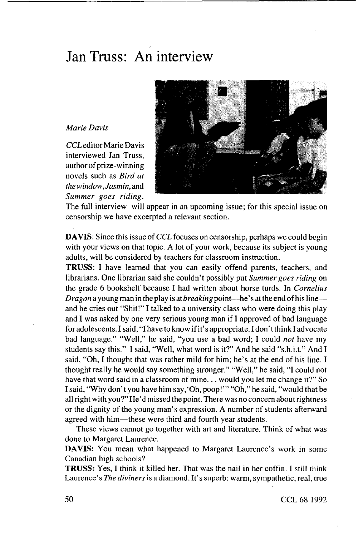## Jan Truss: An interview

## *Marie Davis*

*CCL* editor Marie Davis interviewed Jan Truss, author of prize-winning novels such as *Bird at the window. Jasmin,* and *Summer goes riding.*



The full interview will appear in an upcoming issue; for this special issue on censorship we have excerpted a relevant section.

**DAVIS:** Since this issue *of CCL* focuses on censorship, perhaps we could begin with your views on that topic. A lot of your work, because its subject is young adults, will be considered by teachers for classroom instruction.

**TRUSS:** I have learned that you can easily offend parents, teachers, and librarians. One librarian said she couldn't possibly put *Summer goes riding* on the grade 6 bookshelf because I had written about horse turds. In *Cornelius Dragon* a young man in the play is at *breaking* point—he's at the end of his line and he cries out "Shit!" I talked to a university class who were doing this play and I was asked by one very serious young man if I approved of bad language for adolescents. I said, "I have to know if it's appropriate. I don't think I advocate bad language." "Well," he said, "you use a bad word; I could *not* have my students say this." I said, "Well, what word is it?" And he said "s.h.i.t." And I said, "Oh, I thought that was rather mild for him; he's at the end of his line. I thought really he would say something stronger." "Well," he said, "I could not have that word said in a classroom of mine... would you let me change it?" So I said, "Why don't you have him say,'Oh, poop!'" "Oh," he said, "would that be all right with you?" He'd missed the point. There was no concern about rightness or the dignity of the young man's expression. A number of students afterward agreed with him—these were third and fourth year students.

These views cannot go together with art and literature. Think of what was done to Margaret Laurence.

**DAVIS:** You mean what happened to Margaret Laurence's work in some Canadian high schools?

**TRUSS:** Yes, I think it killed her. That was the nail in her coffin. I still think Laurence's *The diviners* is a diamond. It's superb: warm, sympathetic, real, true